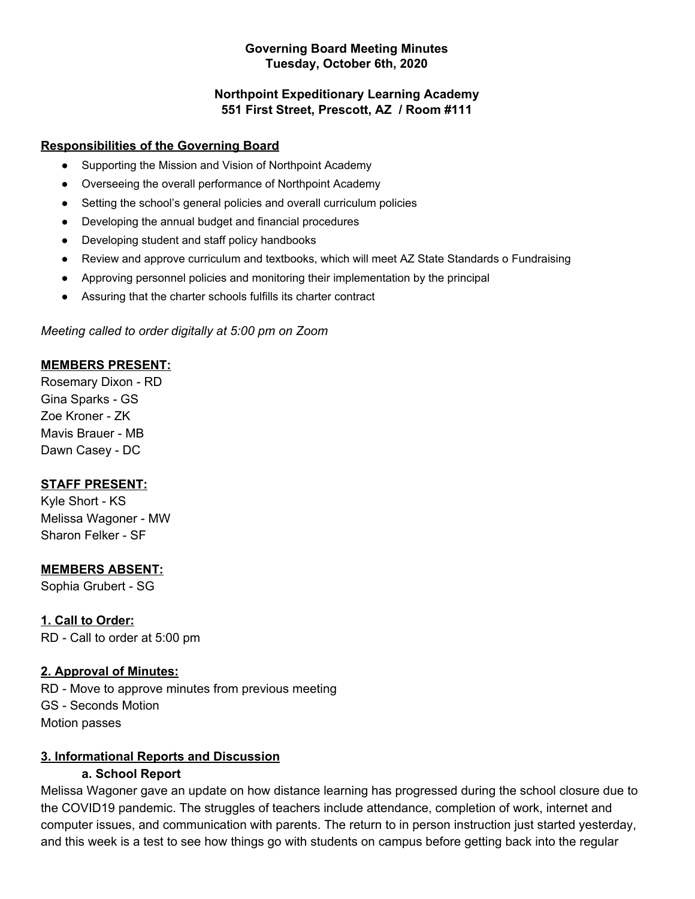#### **Governing Board Meeting Minutes Tuesday, October 6th, 2020**

### **Northpoint Expeditionary Learning Academy 551 First Street, Prescott, AZ / Room #111**

### **Responsibilities of the Governing Board**

- Supporting the Mission and Vision of Northpoint Academy
- Overseeing the overall performance of Northpoint Academy
- Setting the school's general policies and overall curriculum policies
- Developing the annual budget and financial procedures
- Developing student and staff policy handbooks
- Review and approve curriculum and textbooks, which will meet AZ State Standards o Fundraising
- Approving personnel policies and monitoring their implementation by the principal
- Assuring that the charter schools fulfills its charter contract

### *Meeting called to order digitally at 5:00 pm on Zoom*

### **MEMBERS PRESENT:**

Rosemary Dixon - RD Gina Sparks - GS Zoe Kroner - ZK Mavis Brauer - MB Dawn Casey - DC

### **STAFF PRESENT:**

Kyle Short - KS Melissa Wagoner - MW Sharon Felker - SF

### **MEMBERS ABSENT:**

Sophia Grubert - SG

**1. Call to Order:** RD - Call to order at 5:00 pm

### **2. Approval of Minutes:**

RD - Move to approve minutes from previous meeting GS - Seconds Motion Motion passes

### **3. Informational Reports and Discussion**

### **a. School Report**

Melissa Wagoner gave an update on how distance learning has progressed during the school closure due to the COVID19 pandemic. The struggles of teachers include attendance, completion of work, internet and computer issues, and communication with parents. The return to in person instruction just started yesterday, and this week is a test to see how things go with students on campus before getting back into the regular